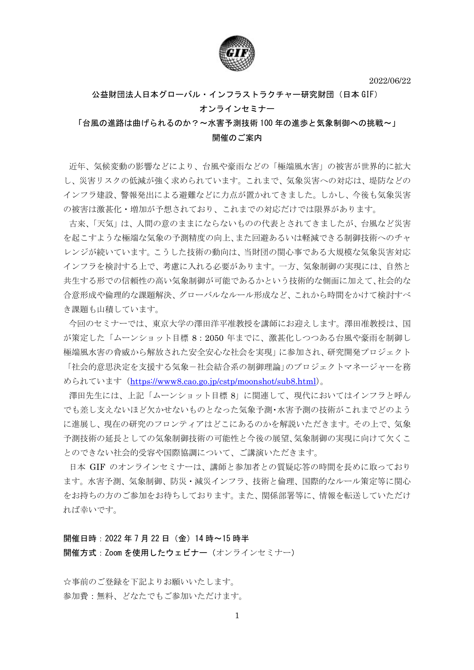2022/06/22



## 公益財団法人日本グローバル・インフラストラクチャー研究財団(日本 GIF) オンラインセミナー

## 「台風の進路は曲げられるのか?~水害予測技術 100 年の進歩と気象制御への挑戦~」 開催のご案内

近年、気候変動の影響などにより、台風や豪雨などの「極端風水害」の被害が世界的に拡大 し、災害リスクの低減が強く求められています。これまで、気象災害への対応は、堤防などの インフラ建設、警報発出による避難などに力点が置かれてきました。しかし、今後も気象災害 の被害は激甚化・増加が予想されており、これまでの対応だけでは限界があります。

古来、「天気」は、人間の意のままにならないものの代表とされてきましたが、台風など災害 を起こすような極端な気象の予測精度の向上、また回避あるいは軽減できる制御技術へのチャ レンジが続いています。こうした技術の動向は、当財団の関心事である大規模な気象災害対応 インフラを検討する上で、考慮に入れる必要があります。一方、気象制御の実現には、自然と 共生する形での信頼性の高い気象制御が可能であるかという技術的な側面に加えて、社会的な 合意形成や倫理的な課題解決、グローバルなルール形成など、これから時間をかけて検討すべ き課題も山積しています。

今回のセミナーでは、東京大学の澤田洋平准教授を講師にお迎えします。澤田准教授は、国 が策定した「ムーンショット目標 8:2050年までに、激甚化しつつある台風や豪雨を制御し 極端風水害の脅威から解放された安全安心な社会を実現」に参加され、研究開発プロジェクト 「社会的意思決定を支援する気象-社会結合系の制御理論」のプロジェクトマネージャーを務 められています (https://www8.cao.go.jp/cstp/moonshot/sub8.html)。

澤田先生には、上記「ムーンショット目標8」に関連して、現代においてはインフラと呼ん でも差し支えないほど欠かせないものとなった気象予測・水害予測の技術がこれまでどのよう に進展し、現在の研究のフロンティアはどこにあるのかを解説いただきます。その上で、気象 予測技術の延長としての気象制御技術の可能性と今後の展望、気象制御の実現に向けて欠くこ とのできない社会的受容や国際協調について、ご講演いただきます。

日本 GIF のオンラインセミナーは、講師と参加者との質疑応答の時間を長めに取っており ます。水害予測、気象制御、防災・減災インフラ、技術と倫理、国際的なルール策定等に関心 をお持ちの方のご参加をお待ちしております。また、関係部署等に、情報を転送していただけ れば幸いです。

開催日時: 2022年7月22日 (金) 14時~15時半 開催方式: Zoom を使用したウェビナー (オンラインセミナー)

☆事前のご登録を下記よりお願いいたします。 参加費:無料、どなたでもご参加いただけます。